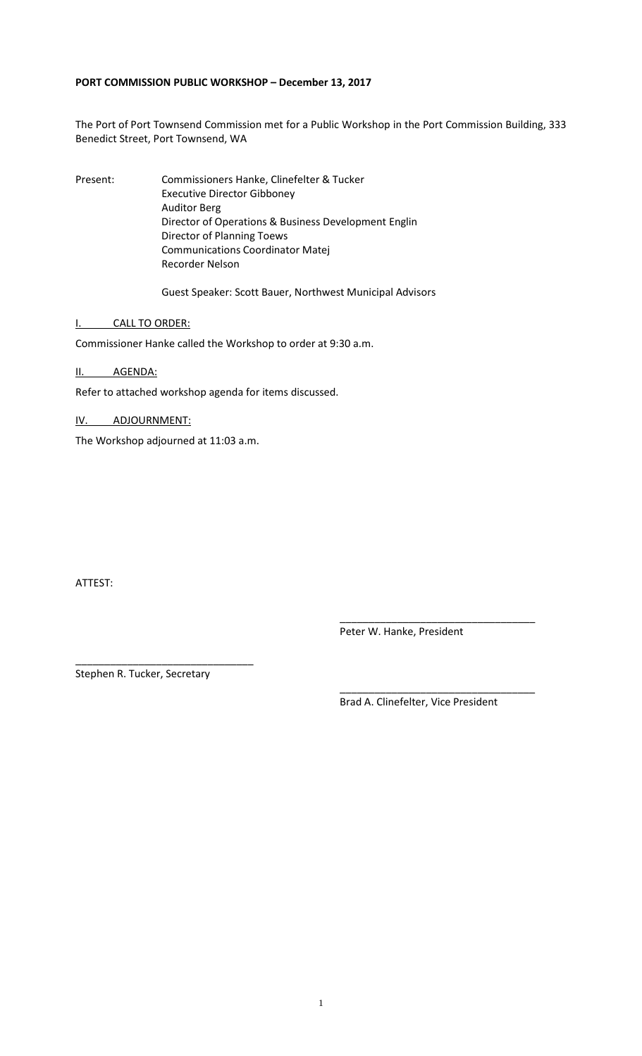## **PORT COMMISSION PUBLIC WORKSHOP – December 13, 2017**

The Port of Port Townsend Commission met for a Public Workshop in the Port Commission Building, 333 Benedict Street, Port Townsend, WA

Present: Commissioners Hanke, Clinefelter & Tucker Executive Director Gibboney Auditor Berg Director of Operations & Business Development Englin Director of Planning Toews Communications Coordinator Matej Recorder Nelson

Guest Speaker: Scott Bauer, Northwest Municipal Advisors

I. CALL TO ORDER:

Commissioner Hanke called the Workshop to order at 9:30 a.m.

II. AGENDA:

Refer to attached workshop agenda for items discussed.

IV. ADJOURNMENT:

The Workshop adjourned at 11:03 a.m.

ATTEST:

\_\_\_\_\_\_\_\_\_\_\_\_\_\_\_\_\_\_\_\_\_\_\_\_\_\_\_\_\_\_\_\_\_\_ Peter W. Hanke, President

Stephen R. Tucker, Secretary

\_\_\_\_\_\_\_\_\_\_\_\_\_\_\_\_\_\_\_\_\_\_\_\_\_\_\_\_\_\_\_

\_\_\_\_\_\_\_\_\_\_\_\_\_\_\_\_\_\_\_\_\_\_\_\_\_\_\_\_\_\_\_\_\_\_ Brad A. Clinefelter, Vice President